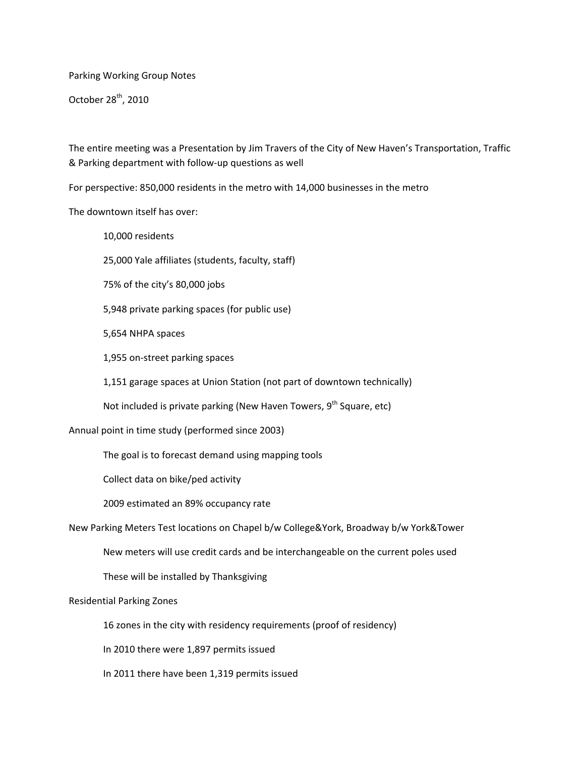Parking Working Group Notes

October 28<sup>th</sup>, 2010

The entire meeting was a Presentation by Jim Travers of the City of New Haven's Transportation, Traffic & Parking department with follow‐up questions as well

For perspective: 850,000 residents in the metro with 14,000 businesses in the metro

The downtown itself has over:

10,000 residents 25,000 Yale affiliates (students, faculty, staff) 75% of the city's 80,000 jobs 5,948 private parking spaces (for public use) 5,654 NHPA spaces 1,955 on‐street parking spaces 1,151 garage spaces at Union Station (not part of downtown technically) Not included is private parking (New Haven Towers,  $9<sup>th</sup>$  Square, etc) Annual point in time study (performed since 2003) The goal is to forecast demand using mapping tools Collect data on bike/ped activity 2009 estimated an 89% occupancy rate New Parking Meters Test locations on Chapel b/w College&York, Broadway b/w York&Tower New meters will use credit cards and be interchangeable on the current poles used These will be installed by Thanksgiving

Residential Parking Zones

16 zones in the city with residency requirements (proof of residency)

In 2010 there were 1,897 permits issued

In 2011 there have been 1,319 permits issued